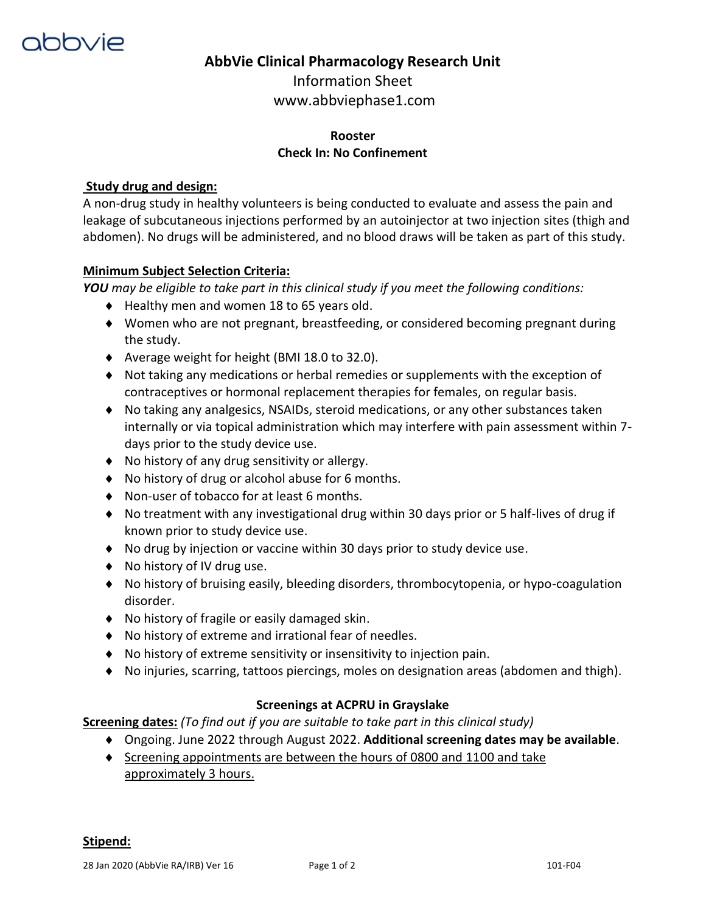

## **AbbVie Clinical Pharmacology Research Unit**

Information Sheet www.abbviephase1.com

### **Rooster Check In: No Confinement**

#### **Study drug and design:**

A non-drug study in healthy volunteers is being conducted to evaluate and assess the pain and leakage of subcutaneous injections performed by an autoinjector at two injection sites (thigh and abdomen). No drugs will be administered, and no blood draws will be taken as part of this study.

#### **Minimum Subject Selection Criteria:**

*YOU may be eligible to take part in this clinical study if you meet the following conditions:* 

- ◆ Healthy men and women 18 to 65 years old.
- Women who are not pregnant, breastfeeding, or considered becoming pregnant during the study.
- ◆ Average weight for height (BMI 18.0 to 32.0).
- Not taking any medications or herbal remedies or supplements with the exception of contraceptives or hormonal replacement therapies for females, on regular basis.
- No taking any analgesics, NSAIDs, steroid medications, or any other substances taken internally or via topical administration which may interfere with pain assessment within 7 days prior to the study device use.
- ◆ No history of any drug sensitivity or allergy.
- ◆ No history of drug or alcohol abuse for 6 months.
- ◆ Non-user of tobacco for at least 6 months.
- No treatment with any investigational drug within 30 days prior or 5 half-lives of drug if known prior to study device use.
- No drug by injection or vaccine within 30 days prior to study device use.
- ◆ No history of IV drug use.
- No history of bruising easily, bleeding disorders, thrombocytopenia, or hypo-coagulation disorder.
- ◆ No history of fragile or easily damaged skin.
- No history of extreme and irrational fear of needles.
- $\bullet$  No history of extreme sensitivity or insensitivity to injection pain.
- No injuries, scarring, tattoos piercings, moles on designation areas (abdomen and thigh).

#### **Screenings at ACPRU in Grayslake**

**Screening dates:** *(To find out if you are suitable to take part in this clinical study)*

- Ongoing. June 2022 through August 2022. **Additional screening dates may be available**.
- $\bullet$  Screening appointments are between the hours of 0800 and 1100 and take approximately 3 hours.